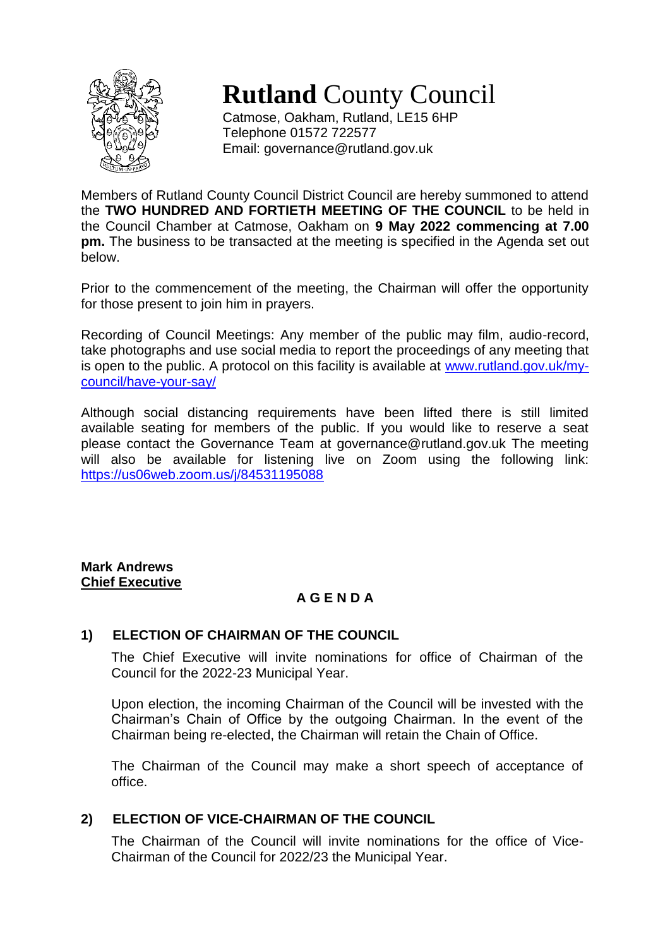

**Rutland** County Council

Catmose, Oakham, Rutland, LE15 6HP Telephone 01572 722577 Email: governance@rutland.gov.uk

Members of Rutland County Council District Council are hereby summoned to attend the **TWO HUNDRED AND FORTIETH MEETING OF THE COUNCIL** to be held in the Council Chamber at Catmose, Oakham on **9 May 2022 commencing at 7.00 pm.** The business to be transacted at the meeting is specified in the Agenda set out below.

Prior to the commencement of the meeting, the Chairman will offer the opportunity for those present to join him in prayers.

Recording of Council Meetings: Any member of the public may film, audio-record, take photographs and use social media to report the proceedings of any meeting that is open to the public. A protocol on this facility is available at [www.rutland.gov.uk/my](http://www.rutland.gov.uk/my-council/have-your-say/)[council/have-your-say/](http://www.rutland.gov.uk/my-council/have-your-say/)

Although social distancing requirements have been lifted there is still limited available seating for members of the public. If you would like to reserve a seat please contact the Governance Team at governance@rutland.gov.uk The meeting will also be available for listening live on Zoom using the following link: <https://us06web.zoom.us/j/84531195088>

**Mark Andrews Chief Executive**

# **A G E N D A**

## **1) ELECTION OF CHAIRMAN OF THE COUNCIL**

The Chief Executive will invite nominations for office of Chairman of the Council for the 2022-23 Municipal Year.

Upon election, the incoming Chairman of the Council will be invested with the Chairman's Chain of Office by the outgoing Chairman. In the event of the Chairman being re-elected, the Chairman will retain the Chain of Office.

The Chairman of the Council may make a short speech of acceptance of office.

## **2) ELECTION OF VICE-CHAIRMAN OF THE COUNCIL**

The Chairman of the Council will invite nominations for the office of Vice-Chairman of the Council for 2022/23 the Municipal Year.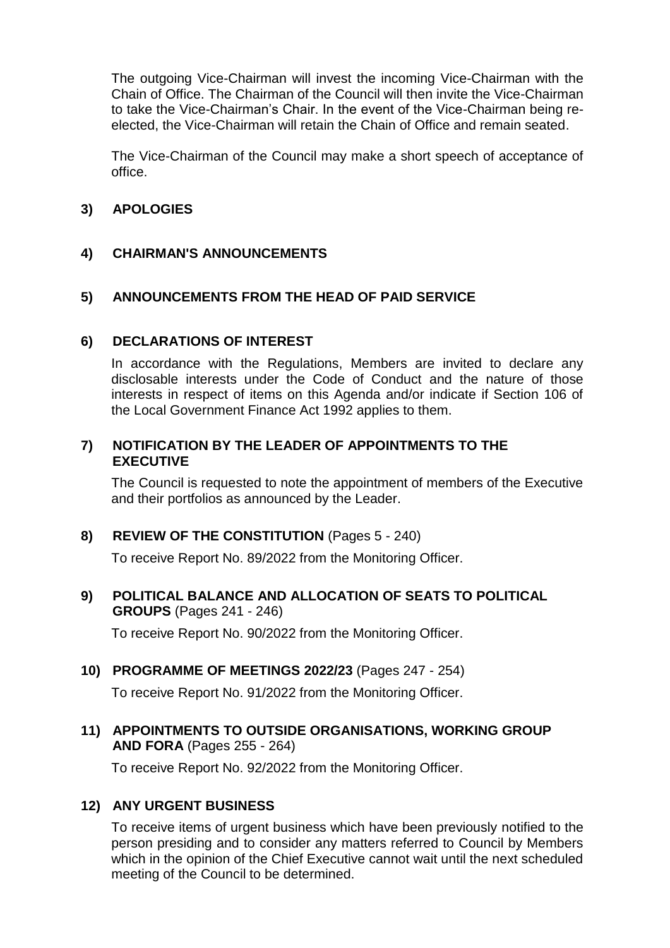The outgoing Vice-Chairman will invest the incoming Vice-Chairman with the Chain of Office. The Chairman of the Council will then invite the Vice-Chairman to take the Vice-Chairman's Chair. In the event of the Vice-Chairman being reelected, the Vice-Chairman will retain the Chain of Office and remain seated.

The Vice-Chairman of the Council may make a short speech of acceptance of office.

## **3) APOLOGIES**

### **4) CHAIRMAN'S ANNOUNCEMENTS**

### **5) ANNOUNCEMENTS FROM THE HEAD OF PAID SERVICE**

#### **6) DECLARATIONS OF INTEREST**

In accordance with the Regulations, Members are invited to declare any disclosable interests under the Code of Conduct and the nature of those interests in respect of items on this Agenda and/or indicate if Section 106 of the Local Government Finance Act 1992 applies to them.

### **7) NOTIFICATION BY THE LEADER OF APPOINTMENTS TO THE EXECUTIVE**

The Council is requested to note the appointment of members of the Executive and their portfolios as announced by the Leader.

### **8) REVIEW OF THE CONSTITUTION** (Pages 5 - 240)

To receive Report No. 89/2022 from the Monitoring Officer.

#### **9) POLITICAL BALANCE AND ALLOCATION OF SEATS TO POLITICAL GROUPS** (Pages 241 - 246)

To receive Report No. 90/2022 from the Monitoring Officer.

### **10) PROGRAMME OF MEETINGS 2022/23** (Pages 247 - 254)

To receive Report No. 91/2022 from the Monitoring Officer.

**11) APPOINTMENTS TO OUTSIDE ORGANISATIONS, WORKING GROUP AND FORA** (Pages 255 - 264)

To receive Report No. 92/2022 from the Monitoring Officer.

#### **12) ANY URGENT BUSINESS**

To receive items of urgent business which have been previously notified to the person presiding and to consider any matters referred to Council by Members which in the opinion of the Chief Executive cannot wait until the next scheduled meeting of the Council to be determined.